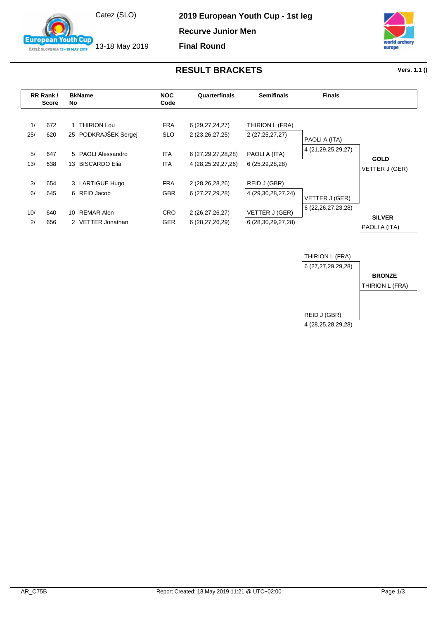

13-18 May 2019

**fouth Cup** 

**European** 

ČATEŽ SLOVENIA 13-18 MAY 2019

**2019 European Youth Cup - 1st leg**

**Recurve Junior Men**

**Final Round**



## **RESULT BRACKETS Vers. 1.1 ()**

| RR Rank/<br><b>Score</b> |     | <b>BkName</b><br>No. |                      | <b>NOC</b><br>Code | Quarterfinals          | <b>Semifinals</b>      | <b>Finals</b>          |                                |
|--------------------------|-----|----------------------|----------------------|--------------------|------------------------|------------------------|------------------------|--------------------------------|
| 1/                       | 672 |                      | <b>THIRION Lou</b>   | <b>FRA</b>         | 6 (29, 27, 24, 27)     | THIRION L (FRA)        |                        |                                |
| 25/                      | 620 |                      | 25 PODKRAJŠEK Sergej | <b>SLO</b>         | 2 (23, 26, 27, 25)     | 2 (27,25,27,27)        | PAOLI A (ITA)          |                                |
| 5/                       | 647 |                      | 5 PAOLI Alessandro   | ITA                | 6 (27, 29, 27, 28, 28) | PAOLI A (ITA)          | 4 (21, 29, 25, 29, 27) |                                |
| 13/                      | 638 |                      | 13 BISCARDO Elia     | ITA.               | 4 (28, 25, 29, 27, 26) | 6 (25,29,28,28)        |                        | <b>GOLD</b><br>VETTER J (GER)  |
| 3/                       | 654 |                      | 3 LARTIGUE Hugo      | <b>FRA</b>         | 2 (28,26,28,26)        | REID J (GBR)           |                        |                                |
| 6/                       | 645 |                      | 6 REID Jacob         | GBR.               | 6 (27,27,29,28)        | 4 (29, 30, 28, 27, 24) | VETTER J (GER)         |                                |
| 10/                      | 640 |                      | 10 REMAR Alen        | CRO                | 2 (26,27,26,27)        | VETTER J (GER)         | 6 (22, 26, 27, 23, 28) |                                |
| 2/                       | 656 |                      | 2 VETTER Jonathan    | GER                | 6 (28,27,26,29)        | 6 (28,30,29,27,28)     |                        | <b>SILVER</b><br>PAOLI A (ITA) |

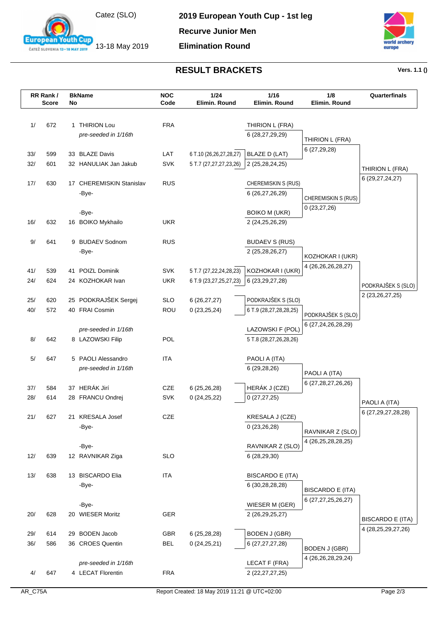

13-18 May 2019

**European Youth Cup** ČATEŽ SLOVENIA 13-18 MAY 2019

**2019 European Youth Cup - 1st leg**

**Recurve Junior Men**

**Elimination Round**



## **RESULT BRACKETS Vers. 1.1 ()**

|            | RR Rank/<br><b>Score</b> | No | <b>BkName</b>                             | <b>NOC</b><br>Code       | 1/24<br>Elimin. Round                                | $1/16$<br>Elimin. Round                | 1/8<br>Elimin. Round       | Quarterfinals           |
|------------|--------------------------|----|-------------------------------------------|--------------------------|------------------------------------------------------|----------------------------------------|----------------------------|-------------------------|
| 1/         | 672                      |    | 1 THIRION Lou                             | <b>FRA</b>               |                                                      | THIRION L (FRA)                        |                            |                         |
|            |                          |    | pre-seeded in 1/16th                      |                          |                                                      | 6 (28,27,29,29)                        |                            |                         |
|            |                          |    |                                           |                          |                                                      |                                        | THIRION L (FRA)            |                         |
| 33/        | 599                      |    | 33 BLAZE Davis                            | LAT                      | 6 T.10 (26,26,27,28,27)                              | <b>BLAZE D (LAT)</b>                   | 6(27,29,28)                |                         |
| 32/        | 601                      |    | 32 HANULIAK Jan Jakub                     | <b>SVK</b>               | 5 T.7 (27,27,27,23,26)                               | 2 (25,28,24,25)                        |                            | THIRION L (FRA)         |
|            |                          |    |                                           |                          |                                                      |                                        |                            | 6 (29, 27, 24, 27)      |
| 17/        | 630                      |    | 17 CHEREMISKIN Stanislav                  | <b>RUS</b>               |                                                      | <b>CHEREMISKIN S (RUS)</b>             |                            |                         |
|            |                          |    | -Bye-                                     |                          |                                                      | 6 (26,27,26,29)                        | <b>CHEREMISKIN S (RUS)</b> |                         |
|            |                          |    | -Bye-                                     |                          |                                                      | <b>BOIKO M (UKR)</b>                   | 0(23, 27, 26)              |                         |
| 16/        | 632                      |    | 16 BOIKO Mykhailo                         | <b>UKR</b>               |                                                      | 2 (24,25,26,29)                        |                            |                         |
|            |                          |    |                                           |                          |                                                      |                                        |                            |                         |
| 9/         | 641                      |    | 9 BUDAEV Sodnom                           | <b>RUS</b>               |                                                      | <b>BUDAEV S (RUS)</b>                  |                            |                         |
|            |                          |    | -Bye-                                     |                          |                                                      | 2 (25,28,26,27)                        | KOZHOKAR I (UKR)           |                         |
|            |                          |    |                                           |                          |                                                      |                                        | 4 (26,26,26,28,27)         |                         |
| 41/<br>24/ | 539<br>624               | 41 | POIZL Dominik<br>24 KOZHOKAR Ivan         | <b>SVK</b><br><b>UKR</b> | 5 T.7 (27, 22, 24, 28, 23)<br>6 T.9 (23,27,25,27,23) | KOZHOKAR I (UKR)<br>6 (23, 29, 27, 28) |                            |                         |
|            |                          |    |                                           |                          |                                                      |                                        |                            | PODKRAJŠEK S (SLO)      |
| 25/        | 620                      |    | 25 PODKRAJŠEK Sergej                      | <b>SLO</b>               | 6(26, 27, 27)                                        | PODKRAJŠEK S (SLO)                     |                            | 2 (23, 26, 27, 25)      |
| 40/        | 572                      |    | 40 FRAI Cosmin                            | ROU                      | 0(23,25,24)                                          | 6 T.9 (28,27,28,28,25)                 | PODKRAJŠEK S (SLO)         |                         |
|            |                          |    |                                           |                          |                                                      |                                        | 6 (27,24,26,28,29)         |                         |
|            |                          |    | pre-seeded in 1/16th                      |                          |                                                      | LAZOWSKI F (POL)                       |                            |                         |
| 8/         | 642                      |    | 8 LAZOWSKI Filip                          | <b>POL</b>               |                                                      | 5 T.8 (28,27,26,28,26)                 |                            |                         |
| 5/         | 647                      |    | 5 PAOLI Alessandro                        | <b>ITA</b>               |                                                      | PAOLI A (ITA)                          |                            |                         |
|            |                          |    | pre-seeded in 1/16th                      |                          |                                                      | 6(29, 28, 26)                          |                            |                         |
|            |                          |    |                                           |                          |                                                      |                                        | PAOLI A (ITA)              |                         |
| 37/        | 584                      |    | 37 HERÁK Jirí                             | CZE                      | 6(25, 26, 28)                                        | HERÁK J (CZE)                          | 6 (27,28,27,26,26)         |                         |
| 28/        | 614                      |    | 28 FRANCU Ondrej                          | <b>SVK</b>               | 0(24,25,22)                                          | 0(27, 27, 25)                          |                            | PAOLI A (ITA)           |
|            |                          |    |                                           |                          |                                                      |                                        |                            | 6 (27, 29, 27, 28, 28)  |
| 21/        | 627                      |    | 21 KRESALA Josef<br>-Bye-                 | CZE                      |                                                      | KRESALA J (CZE)<br>0(23,26,28)         |                            |                         |
|            |                          |    |                                           |                          |                                                      |                                        | RAVNIKAR Z (SLO)           |                         |
|            |                          |    | -Bye-                                     |                          |                                                      | RAVNIKAR Z (SLO)                       | 4 (26,25,28,28,25)         |                         |
| 12/        | 639                      |    | 12 RAVNIKAR Ziga                          | <b>SLO</b>               |                                                      | 6 (28,29,30)                           |                            |                         |
|            |                          |    |                                           |                          |                                                      |                                        |                            |                         |
| 13/        | 638                      |    | 13 BISCARDO Elia                          | <b>ITA</b>               |                                                      | <b>BISCARDO E (ITA)</b>                |                            |                         |
|            |                          |    | -Bye-                                     |                          |                                                      | 6 (30,28,28,28)                        | <b>BISCARDO E (ITA)</b>    |                         |
|            |                          |    | -Bye-                                     |                          |                                                      | WIESER M (GER)                         | 6 (27,27,25,26,27)         |                         |
| 20/        | 628                      |    | 20 WIESER Moritz                          | GER                      |                                                      | 2 (26,29,25,27)                        |                            |                         |
|            |                          |    |                                           |                          |                                                      |                                        |                            | <b>BISCARDO E (ITA)</b> |
| 29/        | 614                      | 29 | <b>BODEN Jacob</b>                        | <b>GBR</b>               | 6 (25,28,28)                                         | <b>BODEN J (GBR)</b>                   |                            | 4 (28, 25, 29, 27, 26)  |
| 36/        | 586                      |    | 36 CROES Quentin                          | <b>BEL</b>               | 0(24,25,21)                                          | 6 (27, 27, 27, 28)                     | <b>BODEN J (GBR)</b>       |                         |
|            |                          |    |                                           |                          |                                                      |                                        | 4 (26,26,28,29,24)         |                         |
|            | 647                      |    | pre-seeded in 1/16th<br>4 LECAT Florentin | <b>FRA</b>               |                                                      | LECAT F (FRA)                          |                            |                         |
| 4/         |                          |    |                                           |                          |                                                      | 2 (22, 27, 27, 25)                     |                            |                         |